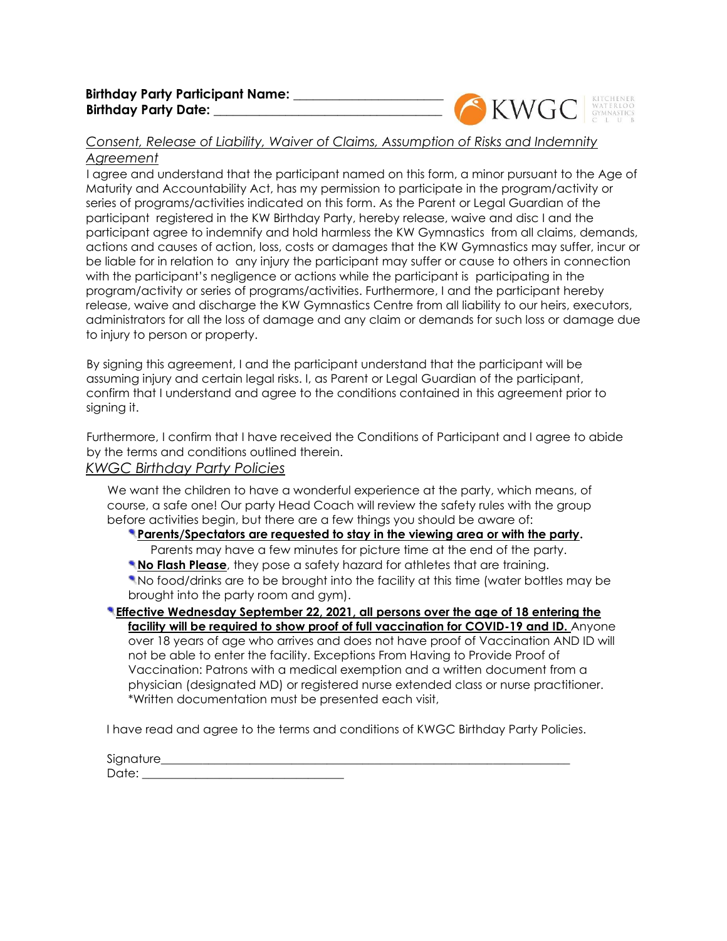

# *Consent, Release of Liability, Waiver of Claims, Assumption of Risks and Indemnity*

## *Agreement*

I agree and understand that the participant named on this form, a minor pursuant to the Age of Maturity and Accountability Act, has my permission to participate in the program/activity or series of programs/activities indicated on this form. As the Parent or Legal Guardian of the participant registered in the KW Birthday Party, hereby release, waive and disc I and the participant agree to indemnify and hold harmless the KW Gymnastics from all claims, demands, actions and causes of action, loss, costs or damages that the KW Gymnastics may suffer, incur or be liable for in relation to any injury the participant may suffer or cause to others in connection with the participant's negligence or actions while the participant is participating in the program/activity or series of programs/activities. Furthermore, I and the participant hereby release, waive and discharge the KW Gymnastics Centre from all liability to our heirs, executors, administrators for all the loss of damage and any claim or demands for such loss or damage due to injury to person or property.

By signing this agreement, I and the participant understand that the participant will be assuming injury and certain legal risks. I, as Parent or Legal Guardian of the participant, confirm that I understand and agree to the conditions contained in this agreement prior to signing it.

Furthermore, I confirm that I have received the Conditions of Participant and I agree to abide by the terms and conditions outlined therein.

## *KWGC Birthday Party Policies*

We want the children to have a wonderful experience at the party, which means, of course, a safe one! Our party Head Coach will review the safety rules with the group before activities begin, but there are a few things you should be aware of:

## **Parents/Spectators are requested to stay in the viewing area or with the party.**

Parents may have a few minutes for picture time at the end of the party.

**No Flash Please**, they pose a safety hazard for athletes that are training.

No food/drinks are to be brought into the facility at this time (water bottles may be brought into the party room and gym).

**Effective Wednesday September 22, 2021, all persons over the age of 18 entering the**  facility will be required to show proof of full vaccination for COVID-19 and ID. Anyone over 18 years of age who arrives and does not have proof of Vaccination AND ID will not be able to enter the facility. Exceptions From Having to Provide Proof of Vaccination: Patrons with a medical exemption and a written document from a physician (designated MD) or registered nurse extended class or nurse practitioner. \*Written documentation must be presented each visit,

I have read and agree to the terms and conditions of KWGC Birthday Party Policies.

Signature\_\_\_\_\_\_\_\_\_\_\_\_\_\_\_\_\_\_\_\_\_\_\_\_\_\_\_\_\_\_\_\_\_\_\_\_\_\_\_\_\_\_\_\_\_\_\_\_\_\_\_\_\_\_\_\_\_\_\_\_\_\_\_\_\_\_\_\_\_ Date:  $\Box$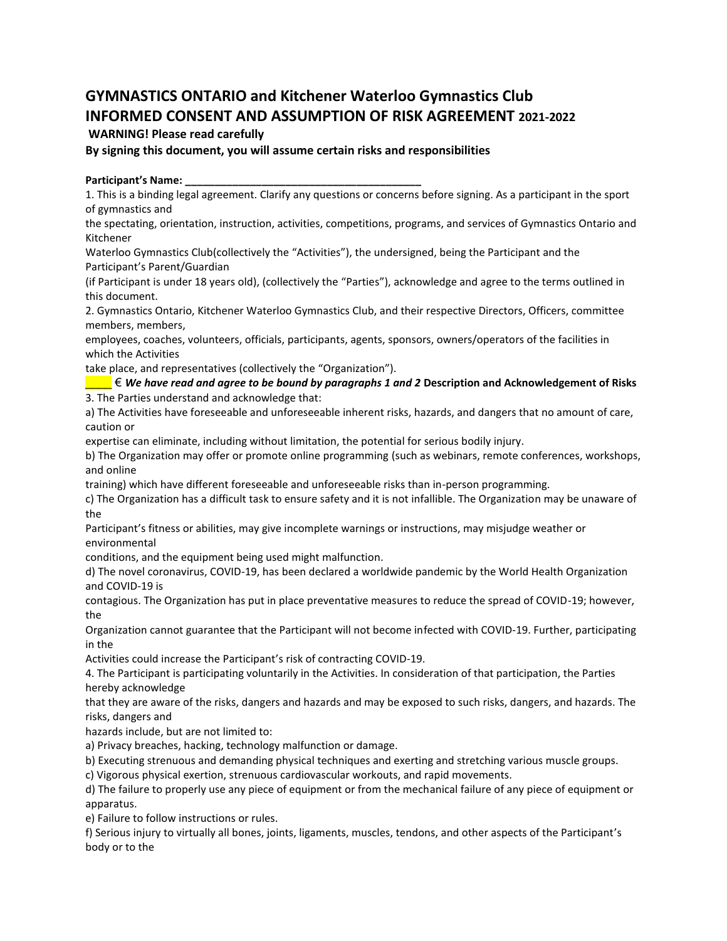## **GYMNASTICS ONTARIO and Kitchener Waterloo Gymnastics Club INFORMED CONSENT AND ASSUMPTION OF RISK AGREEMENT 2021-2022**

### **WARNING! Please read carefully**

**By signing this document, you will assume certain risks and responsibilities**

### **Participant's Name: \_\_\_\_\_\_\_\_\_\_\_\_\_\_\_\_\_\_\_\_\_\_\_\_\_\_\_\_\_\_\_\_\_\_\_\_\_\_\_\_**

1. This is a binding legal agreement. Clarify any questions or concerns before signing. As a participant in the sport of gymnastics and

the spectating, orientation, instruction, activities, competitions, programs, and services of Gymnastics Ontario and Kitchener

Waterloo Gymnastics Club(collectively the "Activities"), the undersigned, being the Participant and the Participant's Parent/Guardian

(if Participant is under 18 years old), (collectively the "Parties"), acknowledge and agree to the terms outlined in this document.

2. Gymnastics Ontario, Kitchener Waterloo Gymnastics Club, and their respective Directors, Officers, committee members, members,

employees, coaches, volunteers, officials, participants, agents, sponsors, owners/operators of the facilities in which the Activities

take place, and representatives (collectively the "Organization").

\_\_\_\_ € *We have read and agree to be bound by paragraphs 1 and 2* **Description and Acknowledgement of Risks** 3. The Parties understand and acknowledge that:

a) The Activities have foreseeable and unforeseeable inherent risks, hazards, and dangers that no amount of care, caution or

expertise can eliminate, including without limitation, the potential for serious bodily injury.

b) The Organization may offer or promote online programming (such as webinars, remote conferences, workshops, and online

training) which have different foreseeable and unforeseeable risks than in-person programming.

c) The Organization has a difficult task to ensure safety and it is not infallible. The Organization may be unaware of the

Participant's fitness or abilities, may give incomplete warnings or instructions, may misjudge weather or environmental

conditions, and the equipment being used might malfunction.

d) The novel coronavirus, COVID-19, has been declared a worldwide pandemic by the World Health Organization and COVID-19 is

contagious. The Organization has put in place preventative measures to reduce the spread of COVID-19; however, the

Organization cannot guarantee that the Participant will not become infected with COVID-19. Further, participating in the

Activities could increase the Participant's risk of contracting COVID-19.

4. The Participant is participating voluntarily in the Activities. In consideration of that participation, the Parties hereby acknowledge

that they are aware of the risks, dangers and hazards and may be exposed to such risks, dangers, and hazards. The risks, dangers and

hazards include, but are not limited to:

a) Privacy breaches, hacking, technology malfunction or damage.

b) Executing strenuous and demanding physical techniques and exerting and stretching various muscle groups.

c) Vigorous physical exertion, strenuous cardiovascular workouts, and rapid movements.

d) The failure to properly use any piece of equipment or from the mechanical failure of any piece of equipment or apparatus.

e) Failure to follow instructions or rules.

f) Serious injury to virtually all bones, joints, ligaments, muscles, tendons, and other aspects of the Participant's body or to the